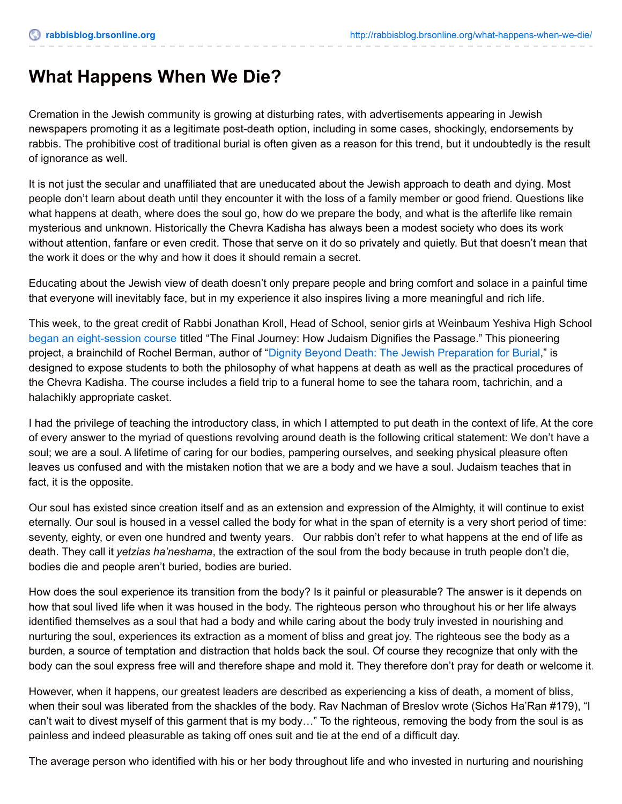## **What Happens When We Die?**

Cremation in the Jewish community is growing at disturbing rates, with advertisements appearing in Jewish newspapers promoting it as a legitimate post-death option, including in some cases, shockingly, endorsements by rabbis. The prohibitive cost of traditional burial is often given as a reason for this trend, but it undoubtedly is the result of ignorance as well.

It is not just the secular and unaffiliated that are uneducated about the Jewish approach to death and dying. Most people don't learn about death until they encounter it with the loss of a family member or good friend. Questions like what happens at death, where does the soul go, how do we prepare the body, and what is the afterlife like remain mysterious and unknown. Historically the Chevra Kadisha has always been a modest society who does its work without attention, fanfare or even credit. Those that serve on it do so privately and quietly. But that doesn't mean that the work it does or the why and how it does it should remain a secret.

Educating about the Jewish view of death doesn't only prepare people and bring comfort and solace in a painful time that everyone will inevitably face, but in my experience it also inspires living a more meaningful and rich life.

This week, to the great credit of Rabbi Jonathan Kroll, Head of School, senior girls at Weinbaum Yeshiva High School began an [eight-session](http://www.sun-sentinel.com/florida-jewish-journal/news/palm/fl-jjps-jewishburial-0311-20150311-21-story.html) course titled "The Final Journey: How Judaism Dignifies the Passage." This pioneering project, a brainchild of Rochel Berman, author of "Dignity Beyond Death: The Jewish [Preparation](http://www.amazon.com/Dignity-Beyond-Death-Jewish-Preparation/dp/9657108667) for Burial," is designed to expose students to both the philosophy of what happens at death as well as the practical procedures of the Chevra Kadisha. The course includes a field trip to a funeral home to see the tahara room, tachrichin, and a halachikly appropriate casket.

I had the privilege of teaching the introductory class, in which I attempted to put death in the context of life. At the core of every answer to the myriad of questions revolving around death is the following critical statement: We don't have a soul; we are a soul. A lifetime of caring for our bodies, pampering ourselves, and seeking physical pleasure often leaves us confused and with the mistaken notion that we are a body and we have a soul. Judaism teaches that in fact, it is the opposite.

Our soul has existed since creation itself and as an extension and expression of the Almighty, it will continue to exist eternally. Our soul is housed in a vessel called the body for what in the span of eternity is a very short period of time: seventy, eighty, or even one hundred and twenty years. Our rabbis don't refer to what happens at the end of life as death. They call it *yetzias ha'neshama*, the extraction of the soul from the body because in truth people don't die, bodies die and people aren't buried, bodies are buried.

How does the soul experience its transition from the body? Is it painful or pleasurable? The answer is it depends on how that soul lived life when it was housed in the body. The righteous person who throughout his or her life always identified themselves as a soul that had a body and while caring about the body truly invested in nourishing and nurturing the soul, experiences its extraction as a moment of bliss and great joy. The righteous see the body as a burden, a source of temptation and distraction that holds back the soul. Of course they recognize that only with the body can the soul express free will and therefore shape and mold it. They therefore don't pray for death or welcome it.

However, when it happens, our greatest leaders are described as experiencing a kiss of death, a moment of bliss, when their soul was liberated from the shackles of the body. Rav Nachman of Breslov wrote (Sichos Ha'Ran #179), "I can't wait to divest myself of this garment that is my body…" To the righteous, removing the body from the soul is as painless and indeed pleasurable as taking off ones suit and tie at the end of a difficult day.

The average person who identified with his or her body throughout life and who invested in nurturing and nourishing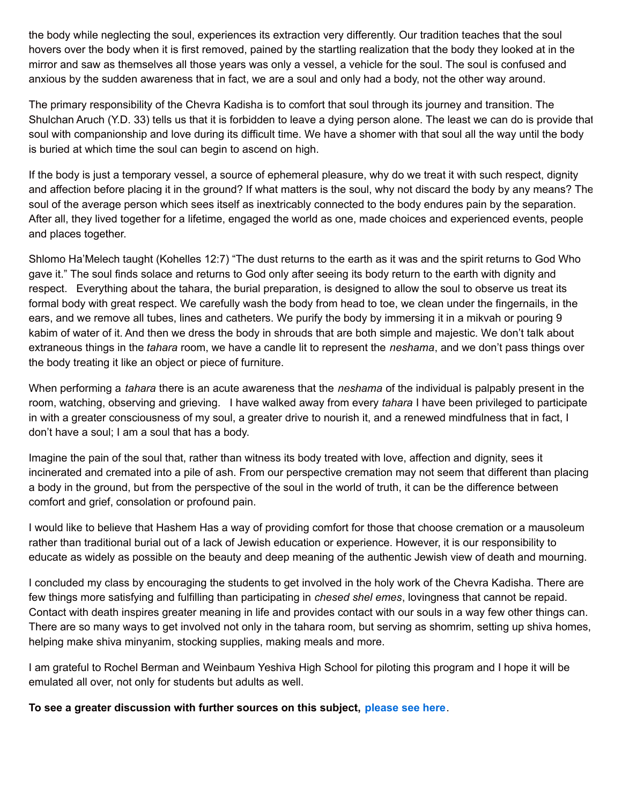the body while neglecting the soul, experiences its extraction very differently. Our tradition teaches that the soul hovers over the body when it is first removed, pained by the startling realization that the body they looked at in the mirror and saw as themselves all those years was only a vessel, a vehicle for the soul. The soul is confused and anxious by the sudden awareness that in fact, we are a soul and only had a body, not the other way around.

The primary responsibility of the Chevra Kadisha is to comfort that soul through its journey and transition. The Shulchan Aruch (Y.D. 33) tells us that it is forbidden to leave a dying person alone. The least we can do is provide that soul with companionship and love during its difficult time. We have a shomer with that soul all the way until the body is buried at which time the soul can begin to ascend on high.

If the body is just a temporary vessel, a source of ephemeral pleasure, why do we treat it with such respect, dignity and affection before placing it in the ground? If what matters is the soul, why not discard the body by any means? The soul of the average person which sees itself as inextricably connected to the body endures pain by the separation. After all, they lived together for a lifetime, engaged the world as one, made choices and experienced events, people and places together.

Shlomo Ha'Melech taught (Kohelles 12:7) "The dust returns to the earth as it was and the spirit returns to God Who gave it." The soul finds solace and returns to God only after seeing its body return to the earth with dignity and respect. Everything about the tahara, the burial preparation, is designed to allow the soul to observe us treat its formal body with great respect. We carefully wash the body from head to toe, we clean under the fingernails, in the ears, and we remove all tubes, lines and catheters. We purify the body by immersing it in a mikvah or pouring 9 kabim of water of it. And then we dress the body in shrouds that are both simple and majestic. We don't talk about extraneous things in the *tahara* room, we have a candle lit to represent the *neshama*, and we don't pass things over the body treating it like an object or piece of furniture.

When performing a *tahara* there is an acute awareness that the *neshama* of the individual is palpably present in the room, watching, observing and grieving. I have walked away from every *tahara* I have been privileged to participate in with a greater consciousness of my soul, a greater drive to nourish it, and a renewed mindfulness that in fact, I don't have a soul; I am a soul that has a body.

Imagine the pain of the soul that, rather than witness its body treated with love, affection and dignity, sees it incinerated and cremated into a pile of ash. From our perspective cremation may not seem that different than placing a body in the ground, but from the perspective of the soul in the world of truth, it can be the difference between comfort and grief, consolation or profound pain.

I would like to believe that Hashem Has a way of providing comfort for those that choose cremation or a mausoleum rather than traditional burial out of a lack of Jewish education or experience. However, it is our responsibility to educate as widely as possible on the beauty and deep meaning of the authentic Jewish view of death and mourning.

I concluded my class by encouraging the students to get involved in the holy work of the Chevra Kadisha. There are few things more satisfying and fulfilling than participating in *chesed shel emes*, lovingness that cannot be repaid. Contact with death inspires greater meaning in life and provides contact with our souls in a way few other things can. There are so many ways to get involved not only in the tahara room, but serving as shomrim, setting up shiva homes, helping make shiva minyanim, stocking supplies, making meals and more.

I am grateful to Rochel Berman and Weinbaum Yeshiva High School for piloting this program and I hope it will be emulated all over, not only for students but adults as well.

**To see a greater discussion with further sources on this subject, [please](http://rabbi.brsonline.org/Shabbat2013.pdf) see here**.